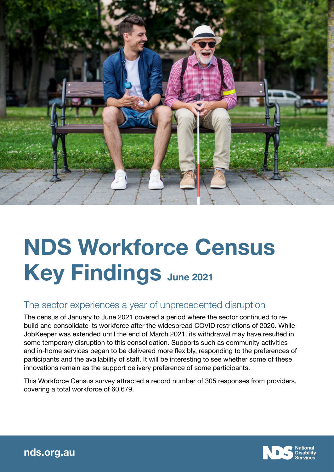

# NDS Workforce Census Key Findings June 2021

## The sector experiences a year of unprecedented disruption

The census of January to June 2021 covered a period where the sector continued to rebuild and consolidate its workforce after the widespread COVID restrictions of 2020. While JobKeeper was extended until the end of March 2021, its withdrawal may have resulted in some temporary disruption to this consolidation. Supports such as community activities and in-home services began to be delivered more flexibly, responding to the preferences of participants and the availability of staff. It will be interesting to see whether some of these innovations remain as the support delivery preference of some participants.

This Workforce Census survey attracted a record number of 305 responses from providers, covering a total workforce of 60,679.



[nds.org.au](http://www.nds.org.au)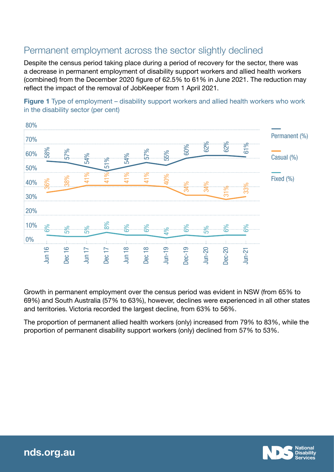# Permanent employment across the sector slightly declined

Despite the census period taking place during a period of recovery for the sector, there was a decrease in permanent employment of disability support workers and allied health workers (combined) from the December 2020 figure of 62.5% to 61% in June 2021. The reduction may reflect the impact of the removal of JobKeeper from 1 April 2021.

Figure 1 Type of employment – disability support workers and allied health workers who work in the disability sector (per cent)



Growth in permanent employment over the census period was evident in NSW (from 65% to 69%) and South Australia (57% to 63%), however, declines were experienced in all other states and territories. Victoria recorded the largest decline, from 63% to 56%.

The proportion of permanent allied health workers (only) increased from 79% to 83%, while the proportion of permanent disability support workers (only) declined from 57% to 53%.

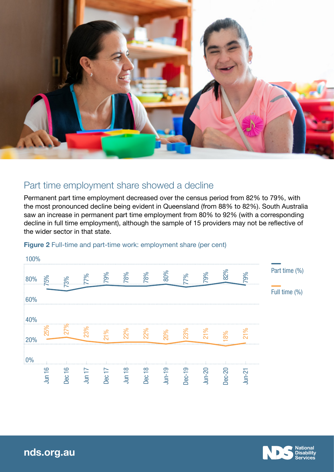

## Part time employment share showed a decline

Permanent part time employment decreased over the census period from 82% to 79%, with the most pronounced decline being evident in Queensland (from 88% to 82%). South Australia saw an increase in permanent part time employment from 80% to 92% (with a corresponding decline in full time employment), although the sample of 15 providers may not be reflective of the wider sector in that state.



#### Figure 2 Full-time and part-time work: employment share (per cent)



[nds.org.au](http://www.nds.org.au)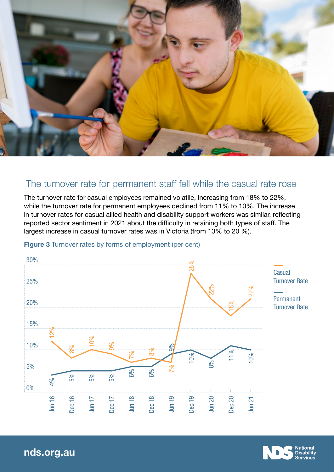

### The turnover rate for permanent staff fell while the casual rate rose

The turnover rate for casual employees remained volatile, increasing from 18% to 22%, while the turnover rate for permanent employees declined from 11% to 10%. The increase in turnover rates for casual allied health and disability support workers was similar, reflecting reported sector sentiment in 2021 about the difficulty in retaining both types of staff. The largest increase in casual turnover rates was in Victoria (from 13% to 20 %).



**Figure 3** Turnover rates by forms of employment (per cent)



[nds.org.au](http://www.nds.org.au)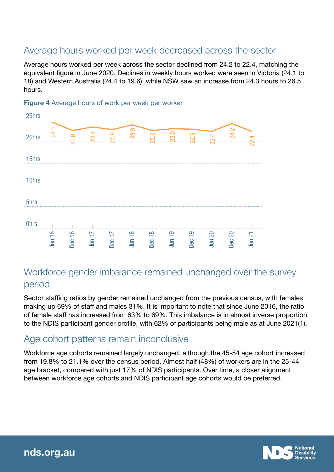## Average hours worked per week decreased across the sector

Average hours worked per week across the sector declined from 24.2 to 22.4, matching the equivalent figure in June 2020. Declines in weekly hours worked were seen in Victoria (24.1 to 18) and Western Australia (24.4 to 19.6), while NSW saw an increase from 24.3 hours to 26.5 hours.



#### **Figure 4** Average hours of work per week per worker

## Workforce gender imbalance remained unchanged over the survey period

Sector staffing ratios by gender remained unchanged from the previous census, with females making up 69% of staff and males 31%. It is important to note that since June 2016, the ratio of female staff has increased from 63% to 69%. This imbalance is in almost inverse proportion to the NDIS participant gender profile, with 62% of participants being male as at June 2021(1).

## Age cohort patterns remain inconclusive

Workforce age cohorts remained largely unchanged, although the 45-54 age cohort increased from 19.8% to 21.1% over the census period. Almost half (48%) of workers are in the 25-44 age bracket, compared with just 17% of NDIS participants. Over time, a closer alignment between workforce age cohorts and NDIS participant age cohorts would be preferred.